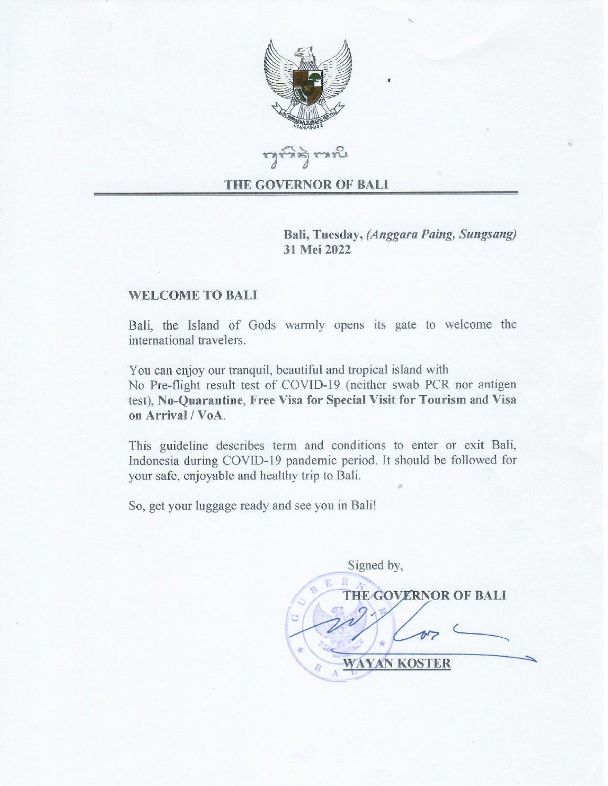

**Laicata** 

#### THE GOVERNOR OF BALI

Bali, Tuesday, (Anggara Paing, Sungsang) 31 Mei 2022

### **WELCOME TO BALI**

Bali, the Island of Gods warmly opens its gate to welcome the international travelers.

You can enjoy our tranguil, beautiful and tropical island with No Pre-flight result test of COVID-19 (neither swab PCR nor antigen test), No-Quarantine, Free Visa for Special Visit for Tourism and Visa on Arrival / VoA.

This guideline describes term and conditions to enter or exit Bali, Indonesia during COVID-19 pandemic period. It should be followed for your safe, enjoyable and healthy trip to Bali.

So, get your luggage ready and see you in Bali!

Signed by, **THE GOVERNOR OF BALI WAYAN KOSTER**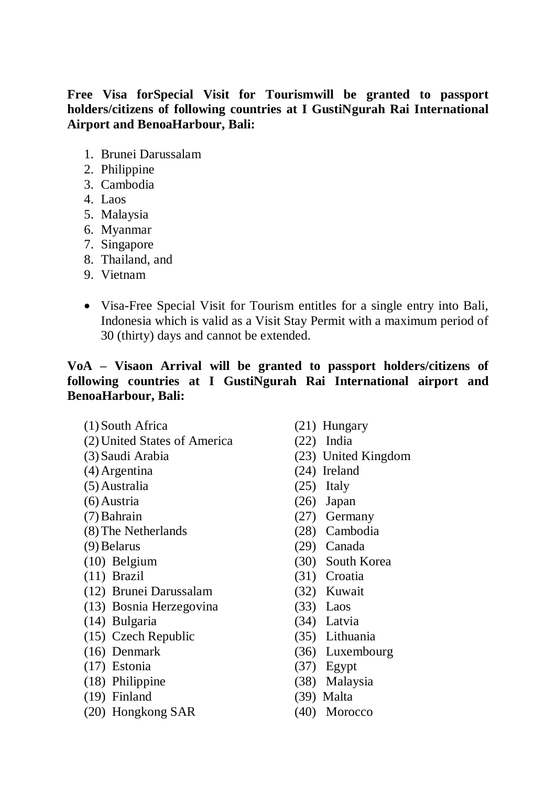## **Free Visa forSpecial Visit for Tourismwill be granted to passport holders/citizens of following countries at I GustiNgurah Rai International Airport and BenoaHarbour, Bali:**

- 1. Brunei Darussalam
- 2. Philippine
- 3. Cambodia
- 4. Laos
- 5. Malaysia
- 6. Myanmar
- 7. Singapore
- 8. Thailand, and
- 9. Vietnam
- Visa-Free Special Visit for Tourism entitles for a single entry into Bali, Indonesia which is valid as a Visit Stay Permit with a maximum period of 30 (thirty) days and cannot be extended.

# **VoA – Visaon Arrival will be granted to passport holders/citizens of following countries at I GustiNgurah Rai International airport and BenoaHarbour, Bali:**

- (1)South Africa
- (2)United States of America
- (3)Saudi Arabia
- (4)Argentina
- (5)Australia
- (6)Austria
- (7)Bahrain
- (8)The Netherlands
- (9)Belarus
- (10) Belgium
- (11) Brazil
- (12) Brunei Darussalam
- (13) Bosnia Herzegovina
- (14) Bulgaria
- (15) Czech Republic
- (16) Denmark
- (17) Estonia
- (18) Philippine
- (19) Finland
- (20) Hongkong SAR
- (21) Hungary
- (22) India
- (23) United Kingdom
- (24) Ireland
- (25) Italy
- (26) Japan
- (27) Germany
- (28) Cambodia
- (29) Canada
- (30) South Korea
- (31) Croatia
- (32) Kuwait
- (33) Laos
- (34) Latvia
- (35) Lithuania
- (36) Luxembourg
- (37) Egypt
- (38) Malaysia
- (39) Malta
- (40) Morocco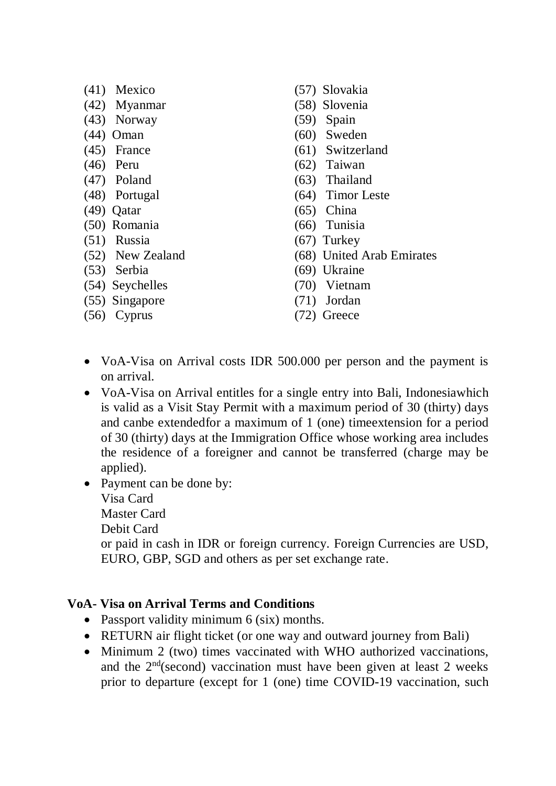- (41) Mexico
- (42) Myanmar
- (43) Norway
- (44) Oman
- (45) France
- (46) Peru
- (47) Poland
- (48) Portugal
- (49) Qatar
- (50) Romania
- (51) Russia
- (52) New Zealand
- (53) Serbia
- (54) Seychelles
- (55) Singapore
- (56) Cyprus
- (57) Slovakia
- (58) Slovenia
- (59) Spain
- (60) Sweden
- (61) Switzerland
- (62) Taiwan
- (63) Thailand
- (64) Timor Leste
- (65) China
- (66) Tunisia
- (67) Turkey
- (68) United Arab Emirates
- (69) Ukraine
- (70) Vietnam
- (71) Jordan
- (72) Greece
- VoA-Visa on Arrival costs IDR 500.000 per person and the payment is on arrival.
- VoA-Visa on Arrival entitles for a single entry into Bali, Indonesiawhich is valid as a Visit Stay Permit with a maximum period of 30 (thirty) days and canbe extendedfor a maximum of 1 (one) timeextension for a period of 30 (thirty) days at the Immigration Office whose working area includes the residence of a foreigner and cannot be transferred (charge may be applied).
- Payment can be done by: Visa Card Master Card Debit Card or paid in cash in IDR or foreign currency. Foreign Currencies are USD, EURO, GBP, SGD and others as per set exchange rate.

# **VoA- Visa on Arrival Terms and Conditions**

- Passport validity minimum 6 (six) months.
- RETURN air flight ticket (or one way and outward journey from Bali)
- Minimum 2 (two) times vaccinated with WHO authorized vaccinations, and the  $2<sup>nd</sup>$ (second) vaccination must have been given at least 2 weeks prior to departure (except for 1 (one) time COVID-19 vaccination, such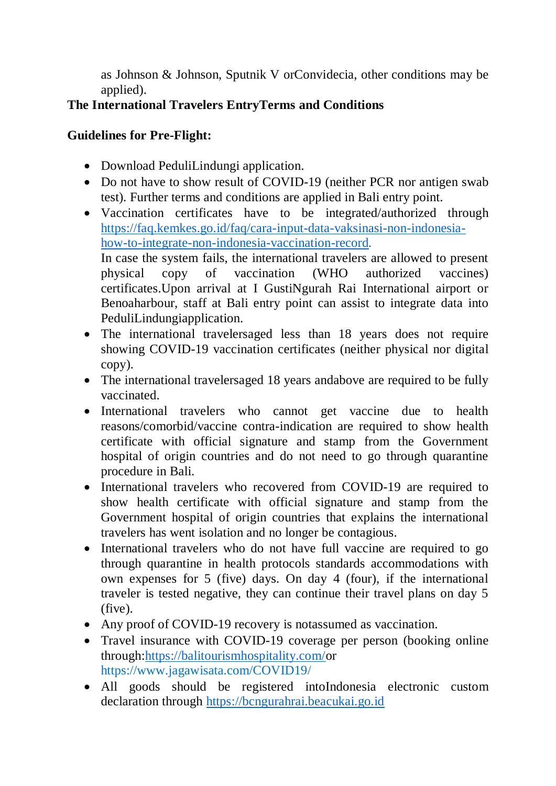as Johnson & Johnson, Sputnik V orConvidecia, other conditions may be applied).

# **The International Travelers EntryTerms and Conditions**

# **Guidelines for Pre-Flight:**

- Download PeduliLindungi application.
- Do not have to show result of COVID-19 (neither PCR nor antigen swab test). Further terms and conditions are applied in Bali entry point.
- Vaccination certificates have to be integrated/authorized through [https://faq.kemkes.go.id/faq/cara-input-data-vaksinasi-non-indonesia](https://faq.kemkes.go.id/faq/cara-input-data-vaksinasi-non-indonesia-how-to-integrate-non-indonesia-vaccination-record)[how-to-integrate-non-indonesia-vaccination-record](https://faq.kemkes.go.id/faq/cara-input-data-vaksinasi-non-indonesia-how-to-integrate-non-indonesia-vaccination-record). In case the system fails, the international travelers are allowed to present physical copy of vaccination (WHO authorized vaccines) certificates.Upon arrival at I GustiNgurah Rai International airport or Benoaharbour, staff at Bali entry point can assist to integrate data into PeduliLindungiapplication.
- The international travelersaged less than 18 years does not require showing COVID-19 vaccination certificates (neither physical nor digital copy).
- The international travelersaged 18 years andabove are required to be fully vaccinated.
- International travelers who cannot get vaccine due to health reasons/comorbid/vaccine contra-indication are required to show health certificate with official signature and stamp from the Government hospital of origin countries and do not need to go through quarantine procedure in Bali.
- International travelers who recovered from COVID-19 are required to show health certificate with official signature and stamp from the Government hospital of origin countries that explains the international travelers has went isolation and no longer be contagious.
- International travelers who do not have full vaccine are required to go through quarantine in health protocols standards accommodations with own expenses for 5 (five) days. On day 4 (four), if the international traveler is tested negative, they can continue their travel plans on day 5 (five).
- Any proof of COVID-19 recovery is notassumed as vaccination.
- Travel insurance with COVID-19 coverage per person (booking online through[:https://balitourismhospitality.com/o](https://balitourismhospitality.com/)r <https://www.jagawisata.com/COVID19/>
- All goods should be registered intoIndonesia electronic custom declaration through [https://bcngurahrai.beacukai.go.id](https://bcngurahrai.beacukai.go.id/)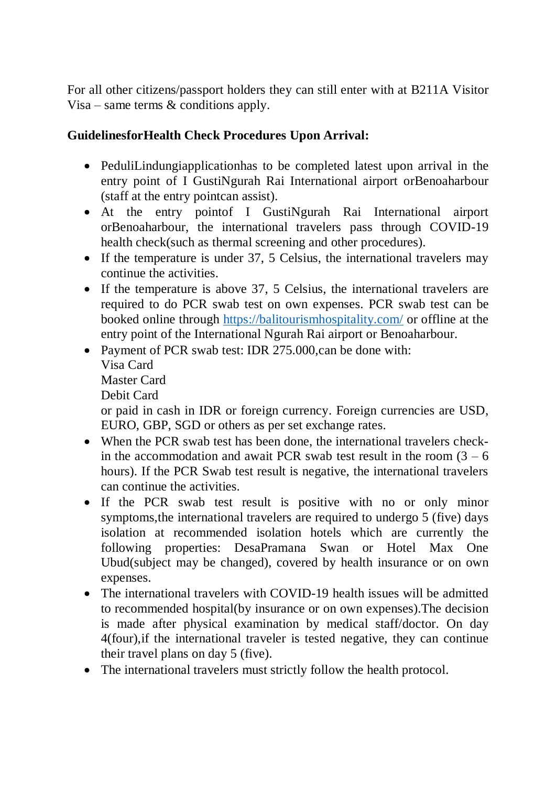For all other citizens/passport holders they can still enter with at B211A Visitor Visa – same terms & conditions apply.

# **GuidelinesforHealth Check Procedures Upon Arrival:**

- PeduliLindungiapplicationhas to be completed latest upon arrival in the entry point of I GustiNgurah Rai International airport orBenoaharbour (staff at the entry pointcan assist).
- At the entry pointof I GustiNgurah Rai International airport orBenoaharbour, the international travelers pass through COVID-19 health check(such as thermal screening and other procedures).
- If the temperature is under 37, 5 Celsius, the international travelers may continue the activities.
- If the temperature is above 37, 5 Celsius, the international travelers are required to do PCR swab test on own expenses. PCR swab test can be booked online through<https://balitourismhospitality.com/> or offline at the entry point of the International Ngurah Rai airport or Benoaharbour.
- Payment of PCR swab test: IDR 275,000,can be done with: Visa Card Master Card Debit Card or paid in cash in IDR or foreign currency. Foreign currencies are USD, EURO, GBP, SGD or others as per set exchange rates.
- When the PCR swab test has been done, the international travelers checkin the accommodation and await PCR swab test result in the room  $(3 - 6)$ hours). If the PCR Swab test result is negative, the international travelers can continue the activities.
- If the PCR swab test result is positive with no or only minor symptoms,the international travelers are required to undergo 5 (five) days isolation at recommended isolation hotels which are currently the following properties: DesaPramana Swan or Hotel Max One Ubud(subject may be changed), covered by health insurance or on own expenses.
- The international travelers with COVID-19 health issues will be admitted to recommended hospital(by insurance or on own expenses).The decision is made after physical examination by medical staff/doctor. On day 4(four),if the international traveler is tested negative, they can continue their travel plans on day 5 (five).
- The international travelers must strictly follow the health protocol.